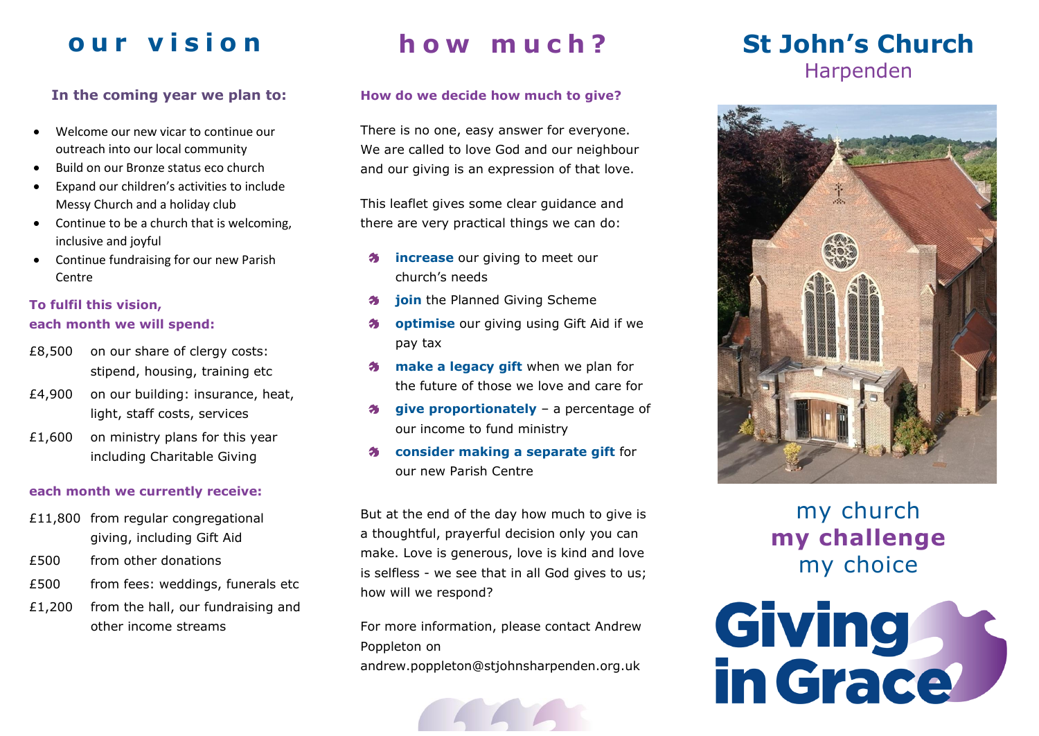# **o u r v i s i o n**

### **In the coming year we plan to:**

- Welcome our new vicar to continue our outreach into our local community
- Build on our Bronze status eco church
- Expand our children's activities to include Messy Church and a holiday club
- Continue to be a church that is welcoming, inclusive and joyful
- Continue fundraising for our new Parish Centre

### **To fulfil this vision,**

#### **each month we will spend:**

- £8,500 on our share of clergy costs: stipend, housing, training etc
- £4,900 on our building: insurance, heat, light, staff costs, services
- £1,600 on ministry plans for this year including Charitable Giving

#### **each month we currently receive:**

- £11,800 from regular congregational giving, including Gift Aid
- £500 from other donations
- £500 from fees: weddings, funerals etc
- £1,200 from the hall, our fundraising and other income streams

# **h o w m u c h ?**

### **How do we decide how much to give?**

There is no one, easy answer for everyone. We are called to love God and our neighbour and our giving is an expression of that love.

This leaflet gives some clear guidance and there are very practical things we can do:

- **increase** our giving to meet our 多 church's needs
- **join** the Planned Giving Scheme 务
- **optimise** our giving using Gift Aid if we 56 pay tax
- **make a legacy gift** when we plan for the future of those we love and care for
- **give proportionately** a percentage of 25. our income to fund ministry
- **consider making a separate gift** for 务 our new Parish Centre

But at the end of the day how much to give is a thoughtful, prayerful decision only you can make. Love is generous, love is kind and love is selfless - we see that in all God gives to us; how will we respond?

For more information, please contact Andrew Poppleton on [andrew.poppleton@stjohnsharpenden.org.uk](mailto:andrew.poppleton@stjohnsharpenden.org.uk)



### **St John's Church** Harpenden



### my church **my challenge** my choice